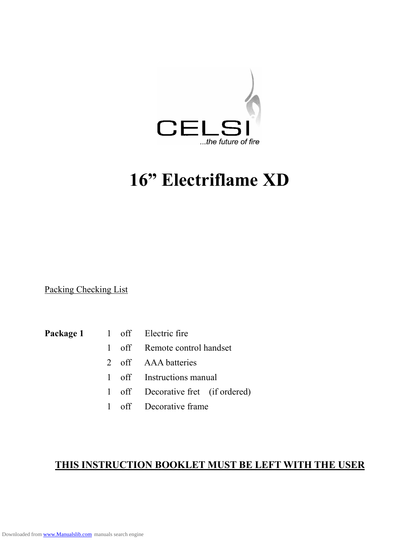

# **16" Electriflame XD**

Packing Checking List

- **Package 1** 1 off Electric fire
	- 1 off Remote control handset
	- 2 off AAA batteries
	- 1 off Instructions manual
	- 1 off Decorative fret (if ordered)
	- 1 off Decorative frame

# **THIS INSTRUCTION BOOKLET MUST BE LEFT WITH THE USER**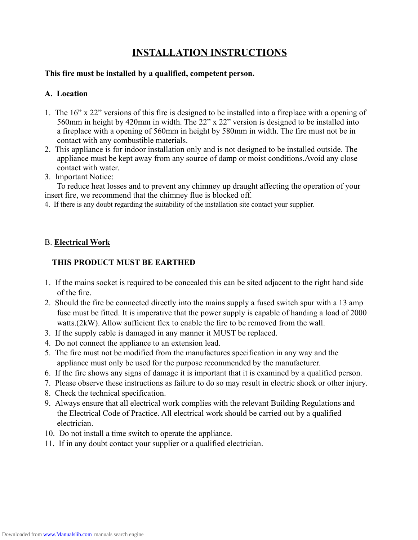# **INSTALLATION INSTRUCTIONS**

#### **This fire must be installed by a qualified, competent person.**

#### **A. Location**

- 1. The 16" x 22" versions of this fire is designed to be installed into a fireplace with a opening of 560mm in height by 420mm in width. The 22" x 22" version is designed to be installed into a fireplace with a opening of 560mm in height by 580mm in width. The fire must not be in contact with any combustible materials.
- 2. This appliance is for indoor installation only and is not designed to be installed outside. The appliance must be kept away from any source of damp or moist conditions.Avoid any close contact with water.
- 3. Important Notice:

To reduce heat losses and to prevent any chimney up draught affecting the operation of your insert fire, we recommend that the chimney flue is blocked off.

4. If there is any doubt regarding the suitability of the installation site contact your supplier.

#### B. **Electrical Work**

### **THIS PRODUCT MUST BE EARTHED**

- 1. If the mains socket is required to be concealed this can be sited adjacent to the right hand side of the fire.
- 2. Should the fire be connected directly into the mains supply a fused switch spur with a 13 amp fuse must be fitted. It is imperative that the power supply is capable of handing a load of 2000 watts.(2kW). Allow sufficient flex to enable the fire to be removed from the wall.
- 3. If the supply cable is damaged in any manner it MUST be replaced.
- 4. Do not connect the appliance to an extension lead.
- 5. The fire must not be modified from the manufactures specification in any way and the appliance must only be used for the purpose recommended by the manufacturer.
- 6. If the fire shows any signs of damage it is important that it is examined by a qualified person.
- 7. Please observe these instructions as failure to do so may result in electric shock or other injury.
- 8. Check the technical specification.
- 9. Always ensure that all electrical work complies with the relevant Building Regulations and the Electrical Code of Practice. All electrical work should be carried out by a qualified electrician.
- 10. Do not install a time switch to operate the appliance.
- 11. If in any doubt contact your supplier or a qualified electrician.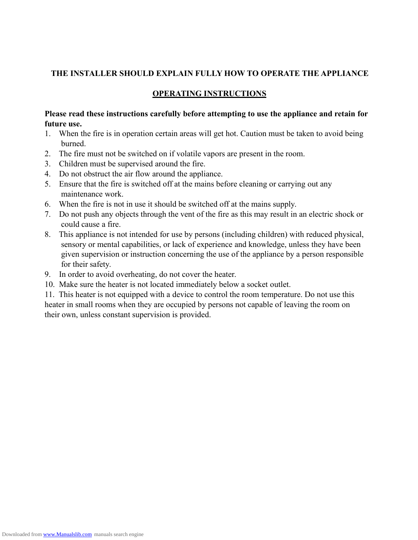#### **THE INSTALLER SHOULD EXPLAIN FULLY HOW TO OPERATE THE APPLIANCE**

#### **OPERATING INSTRUCTIONS**

#### **Please read these instructions carefully before attempting to use the appliance and retain for future use.**

- 1. When the fire is in operation certain areas will get hot. Caution must be taken to avoid being burned.
- 2. The fire must not be switched on if volatile vapors are present in the room.
- 3. Children must be supervised around the fire.
- 4. Do not obstruct the air flow around the appliance.
- 5. Ensure that the fire is switched off at the mains before cleaning or carrying out any maintenance work.
- 6. When the fire is notin use it should be switched off at the mains supply.
- 7. Do not push any objects through the vent of the fire as this may result in an electric shock or could cause a fire.
- 8. This appliance is not intended for use by persons (including children) with reduced physical, sensory or mental capabilities, or lack of experience and knowledge, unless they have been given supervision or instruction concerning the use of the appliance by a person responsible for their safety.
- 9. In order to avoid overheating, do not cover the heater.
- 10. Make sure the heater is not located immediately below a socket outlet.

11. This heater is not equipped with a device to control the room temperature. Do not use this heater in small rooms when they are occupied by persons not capable of leaving the room on their own, unless constant supervision is provided.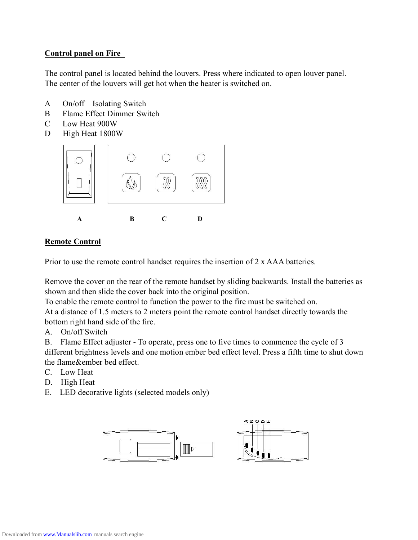### **Control panel on Fire**

The control panel is located behind the louvers. Press where indicated to open louver panel. The center of the louvers will get hot when the heater is switched on.

- A On/off Isolating Switch
- B Flame Effect Dimmer Switch
- C Low Heat 900W
- D High Heat 1800W



#### **Remote Control**

Prior to use the remote control handset requires the insertion of 2 x AAA batteries.

Remove the cover on the rear of the remote handset by sliding backwards. Install the batteries as shown and then slide the cover back into the original position.

To enable the remote control to function the power to the fire must be switched on. At a distance of 1.5 meters to 2 meters point the remote control handset directly towards the

bottom right hand side of the fire.

A. On/off Switch

B. Flame Effect adjuster - To operate, press one to five times to commence the cycle of 3 different brightness levels and one motion ember bed effect level. Press a fifth time to shut down the flame&ember bed effect.

- C. Low Heat
- D. High Heat
- E. LED decorative lights (selected models only)

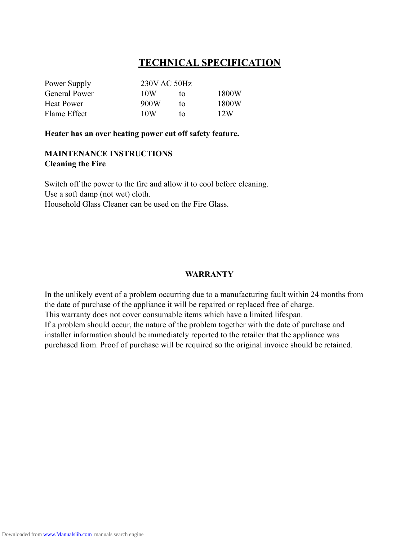# **TECHNICAL SPECIFICATION**

| Power Supply         | 230V AC 50Hz |    |       |
|----------------------|--------------|----|-------|
| <b>General Power</b> | 10W          | tΩ | 1800W |
| Heat Power           | 900W         | tο | 1800W |
| Flame Effect         | 10W          | tΩ | 12W   |

**Heater has an over heating power cutoff safety feature.**

#### **MAINTENANCE INSTRUCTIONS Cleaning the Fire**

Switch off the power to the fire and allow it to cool before cleaning. Use a soft damp (not wet) cloth. Household Glass Cleaner can be used on the Fire Glass.

#### **WARRANTY**

In the unlikely event of a problem occurring due to a manufacturing fault within 24 months from the date of purchase of the appliance it will be repaired or replaced free of charge. This warranty does not cover consumable items which have a limited lifespan. If a problem should occur, the nature of the problem together with the date of purchase and installer information should be immediately reported to the retailer that the appliance was purchased from. Proof of purchase will be required so the original invoice should be retained.